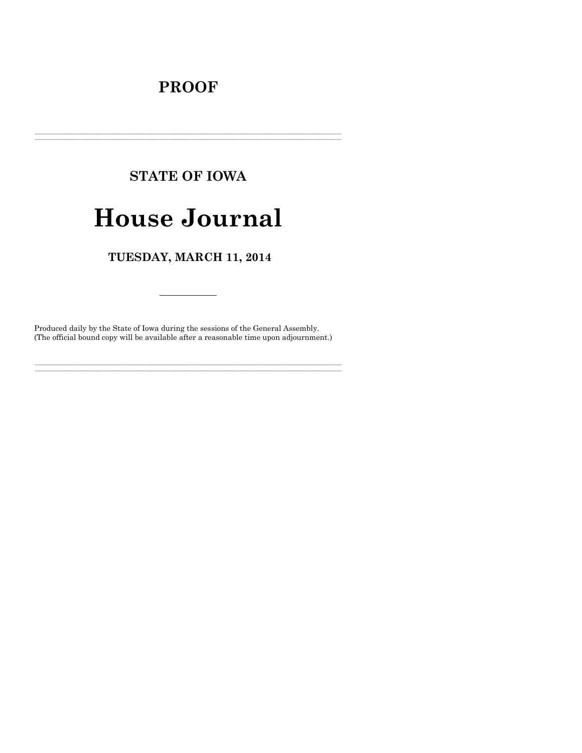# **PROOF**

# **STATE OF IOWA**

# **House Journal**

### TUESDAY, MARCH 11, 2014

Produced daily by the State of Iowa during the sessions of the General Assembly. (The official bound copy will be available after a reasonable time upon adjournment.)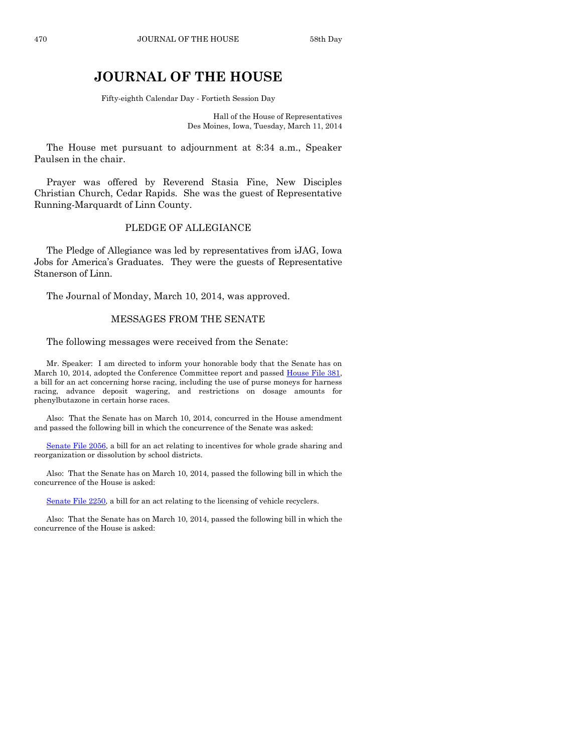## **JOURNAL OF THE HOUSE**

Fifty-eighth Calendar Day - Fortieth Session Day

Hall of the House of Representatives Des Moines, Iowa, Tuesday, March 11, 2014

The House met pursuant to adjournment at 8:34 a.m., Speaker Paulsen in the chair.

Prayer was offered by Reverend Stasia Fine, New Disciples Christian Church, Cedar Rapids. She was the guest of Representative Running-Marquardt of Linn County.

#### PLEDGE OF ALLEGIANCE

The Pledge of Allegiance was led by representatives from iJAG, Iowa Jobs for America's Graduates. They were the guests of Representative Stanerson of Linn.

The Journal of Monday, March 10, 2014, was approved.

#### MESSAGES FROM THE SENATE

The following messages were received from the Senate:

Mr. Speaker: I am directed to inform your honorable body that the Senate has on March 10, 2014, adopted the Conference Committee report and passed [House File 381,](http://coolice.legis.iowa.gov/Cool-ICE/default.asp?Category=billinfo&Service=Billbook&frame=1&GA=85&hbill=HF381) a bill for an act concerning horse racing, including the use of purse moneys for harness racing, advance deposit wagering, and restrictions on dosage amounts for phenylbutazone in certain horse races.

Also: That the Senate has on March 10, 2014, concurred in the House amendment and passed the following bill in which the concurrence of the Senate was asked:

[Senate File 2056,](http://coolice.legis.iowa.gov/Cool-ICE/default.asp?Category=billinfo&Service=Billbook&frame=1&GA=85&hbill=SF2056) a bill for an act relating to incentives for whole grade sharing and reorganization or dissolution by school districts.

Also: That the Senate has on March 10, 2014, passed the following bill in which the concurrence of the House is asked:

[Senate File 2250,](http://coolice.legis.iowa.gov/Cool-ICE/default.asp?Category=billinfo&Service=Billbook&frame=1&GA=85&hbill=SF2250) a bill for an act relating to the licensing of vehicle recyclers.

Also: That the Senate has on March 10, 2014, passed the following bill in which the concurrence of the House is asked: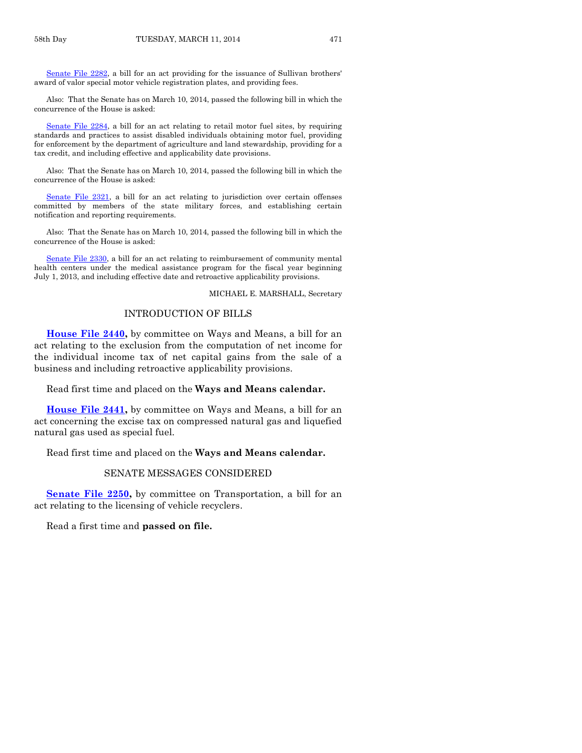[Senate File 2282,](http://coolice.legis.iowa.gov/Cool-ICE/default.asp?Category=billinfo&Service=Billbook&frame=1&GA=85&hbill=SF2282) a bill for an act providing for the issuance of Sullivan brothers' award of valor special motor vehicle registration plates, and providing fees.

Also: That the Senate has on March 10, 2014, passed the following bill in which the concurrence of the House is asked:

[Senate File 2284,](http://coolice.legis.iowa.gov/Cool-ICE/default.asp?Category=billinfo&Service=Billbook&frame=1&GA=85&hbill=SF2284) a bill for an act relating to retail motor fuel sites, by requiring standards and practices to assist disabled individuals obtaining motor fuel, providing for enforcement by the department of agriculture and land stewardship, providing for a tax credit, and including effective and applicability date provisions.

Also: That the Senate has on March 10, 2014, passed the following bill in which the concurrence of the House is asked:

[Senate File 2321,](http://coolice.legis.iowa.gov/Cool-ICE/default.asp?Category=billinfo&Service=Billbook&frame=1&GA=85&hbill=SF2321) a bill for an act relating to jurisdiction over certain offenses committed by members of the state military forces, and establishing certain notification and reporting requirements.

Also: That the Senate has on March 10, 2014, passed the following bill in which the concurrence of the House is asked:

[Senate File 2330,](http://coolice.legis.iowa.gov/Cool-ICE/default.asp?Category=billinfo&Service=Billbook&frame=1&GA=85&hbill=SF2330) a bill for an act relating to reimbursement of community mental health centers under the medical assistance program for the fiscal year beginning July 1, 2013, and including effective date and retroactive applicability provisions.

#### MICHAEL E. MARSHALL, Secretary

#### INTRODUCTION OF BILLS

**[House File 2440,](http://coolice.legis.iowa.gov/Cool-ICE/default.asp?Category=billinfo&Service=Billbook&frame=1&GA=85&hbill=HF2440)** by committee on Ways and Means, a bill for an act relating to the exclusion from the computation of net income for the individual income tax of net capital gains from the sale of a business and including retroactive applicability provisions.

Read first time and placed on the **Ways and Means calendar.**

**[House File 2441,](http://coolice.legis.iowa.gov/Cool-ICE/default.asp?Category=billinfo&Service=Billbook&frame=1&GA=85&hbill=HF2441)** by committee on Ways and Means, a bill for an act concerning the excise tax on compressed natural gas and liquefied natural gas used as special fuel.

Read first time and placed on the **Ways and Means calendar.**

#### SENATE MESSAGES CONSIDERED

**[Senate File 2250,](http://coolice.legis.iowa.gov/Cool-ICE/default.asp?Category=billinfo&Service=Billbook&frame=1&GA=85&hbill=SF2250)** by committee on Transportation, a bill for an act relating to the licensing of vehicle recyclers.

Read a first time and **passed on file.**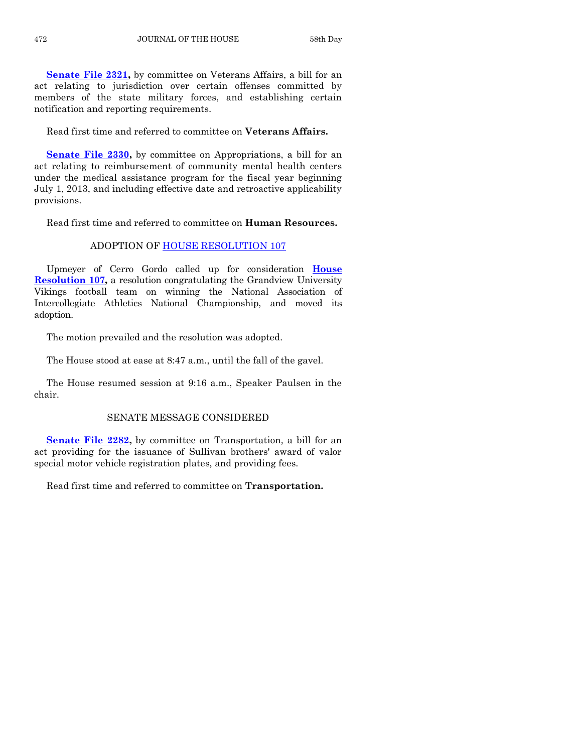**[Senate File 2321,](http://coolice.legis.iowa.gov/Cool-ICE/default.asp?Category=billinfo&Service=Billbook&frame=1&GA=85&hbill=SF2321)** by committee on Veterans Affairs, a bill for an act relating to jurisdiction over certain offenses committed by members of the state military forces, and establishing certain notification and reporting requirements.

Read first time and referred to committee on **Veterans Affairs.**

**[Senate File 2330,](http://coolice.legis.iowa.gov/Cool-ICE/default.asp?Category=billinfo&Service=Billbook&frame=1&GA=85&hbill=SF2330)** by committee on Appropriations, a bill for an act relating to reimbursement of community mental health centers under the medical assistance program for the fiscal year beginning July 1, 2013, and including effective date and retroactive applicability provisions.

Read first time and referred to committee on **Human Resources.**

#### ADOPTION OF [HOUSE RESOLUTION 107](http://coolice.legis.iowa.gov/Cool-ICE/default.asp?Category=billinfo&Service=Billbook&frame=1&GA=85&hbill=HR107)

Upmeyer of Cerro Gordo called up for consideration **[House](http://coolice.legis.iowa.gov/Cool-ICE/default.asp?Category=billinfo&Service=Billbook&frame=1&GA=85&hbill=HR107)  [Resolution 107,](http://coolice.legis.iowa.gov/Cool-ICE/default.asp?Category=billinfo&Service=Billbook&frame=1&GA=85&hbill=HR107)** a resolution congratulating the Grandview University Vikings football team on winning the National Association of Intercollegiate Athletics National Championship, and moved its adoption.

The motion prevailed and the resolution was adopted.

The House stood at ease at 8:47 a.m., until the fall of the gavel.

The House resumed session at 9:16 a.m., Speaker Paulsen in the chair.

#### SENATE MESSAGE CONSIDERED

**[Senate File 2282,](http://coolice.legis.iowa.gov/Cool-ICE/default.asp?Category=billinfo&Service=Billbook&frame=1&GA=85&hbill=SF2282)** by committee on Transportation, a bill for an act providing for the issuance of Sullivan brothers' award of valor special motor vehicle registration plates, and providing fees.

Read first time and referred to committee on **Transportation.**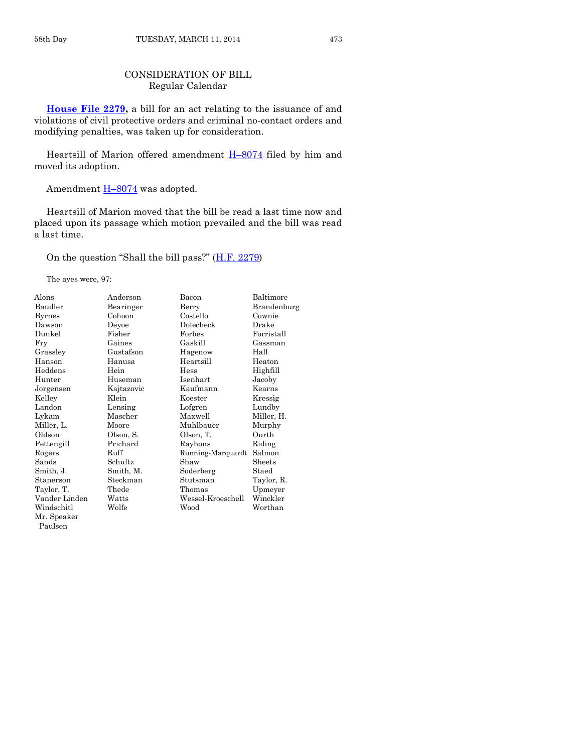### CONSIDERATION OF BILL Regular Calendar

**[House File 2279,](http://coolice.legis.iowa.gov/Cool-ICE/default.asp?Category=billinfo&Service=Billbook&frame=1&GA=85&hbill=HF2279)** a bill for an act relating to the issuance of and violations of civil protective orders and criminal no-contact orders and modifying penalties, was taken up for consideration.

Heartsill of Marion offered amendment  $H-8074$  $H-8074$  filed by him and moved its adoption.

Amendment  $H=8074$  $H=8074$  was adopted.

Heartsill of Marion moved that the bill be read a last time now and placed upon its passage which motion prevailed and the bill was read a last time.

On the question "Shall the bill pass?" ([H.F. 2279\)](http://coolice.legis.iowa.gov/Cool-ICE/default.asp?Category=billinfo&Service=Billbook&frame=1&GA=85&hbill=HF2279)

The ayes were, 97:

| Alons         | Anderson   | Bacon             | Baltimore   |
|---------------|------------|-------------------|-------------|
| Baudler       | Bearinger  | Berry             | Brandenburg |
| <b>Byrnes</b> | Cohoon     | Costello          | Cownie      |
| Dawson        | Deyoe      | Dolecheck         | Drake       |
| Dunkel        | Fisher     | Forbes            | Forristall  |
| Fry           | Gaines     | Gaskill           | Gassman     |
| Grassley      | Gustafson  | Hagenow           | Hall        |
| Hanson        | Hanusa     | Heartsill         | Heaton      |
| Heddens       | Hein       | Hess              | Highfill    |
| Hunter        | Huseman    | Isenhart          | Jacoby      |
| Jorgensen     | Kajtazovic | Kaufmann          | Kearns      |
| Kelley        | Klein      | Koester           | Kressig     |
| Landon        | Lensing    | Lofgren           | Lundby      |
| Lykam         | Mascher    | Maxwell           | Miller, H.  |
| Miller, L.    | Moore      | Muhlbauer         | Murphy      |
| Oldson        | Olson, S.  | Olson, T.         | Ourth       |
| Pettengill    | Prichard   | Rayhons           | Riding      |
| Rogers        | Ruff       | Running-Marquardt | Salmon      |
| Sands         | Schultz    | Shaw              | Sheets      |
| Smith, J.     | Smith, M.  | Soderberg         | Staed       |
| Stanerson     | Steckman   | Stutsman          | Taylor, R.  |
| Taylor, T.    | Thede      | Thomas            | Upmeyer     |
| Vander Linden | Watts      | Wessel-Kroeschell | Winckler    |
| Windschitl    | Wolfe      | Wood              | Worthan     |
| Mr. Speaker   |            |                   |             |
| Paulsen       |            |                   |             |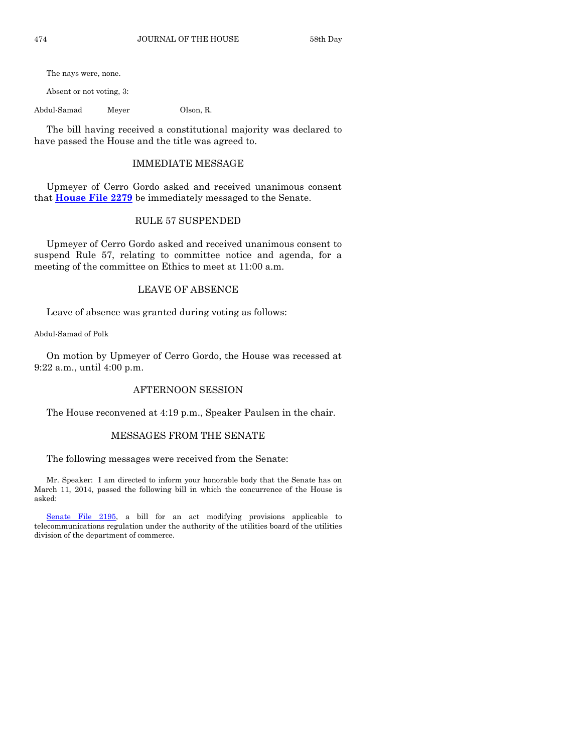The nays were, none.

Absent or not voting, 3:

Abdul-Samad Meyer Olson, R.

The bill having received a constitutional majority was declared to have passed the House and the title was agreed to.

#### IMMEDIATE MESSAGE

Upmeyer of Cerro Gordo asked and received unanimous consent that **[House File 2279](http://coolice.legis.iowa.gov/Cool-ICE/default.asp?Category=billinfo&Service=Billbook&frame=1&GA=85&hbill=HF2279)** be immediately messaged to the Senate.

#### RULE 57 SUSPENDED

Upmeyer of Cerro Gordo asked and received unanimous consent to suspend Rule 57, relating to committee notice and agenda, for a meeting of the committee on Ethics to meet at 11:00 a.m.

#### LEAVE OF ABSENCE

Leave of absence was granted during voting as follows:

Abdul-Samad of Polk

On motion by Upmeyer of Cerro Gordo, the House was recessed at 9:22 a.m., until 4:00 p.m.

#### AFTERNOON SESSION

The House reconvened at 4:19 p.m., Speaker Paulsen in the chair.

#### MESSAGES FROM THE SENATE

The following messages were received from the Senate:

Mr. Speaker: I am directed to inform your honorable body that the Senate has on March 11, 2014, passed the following bill in which the concurrence of the House is asked:

[Senate File 2195,](http://coolice.legis.iowa.gov/Cool-ICE/default.asp?Category=billinfo&Service=Billbook&frame=1&GA=85&hbill=SF2195) a bill for an act modifying provisions applicable to telecommunications regulation under the authority of the utilities board of the utilities division of the department of commerce.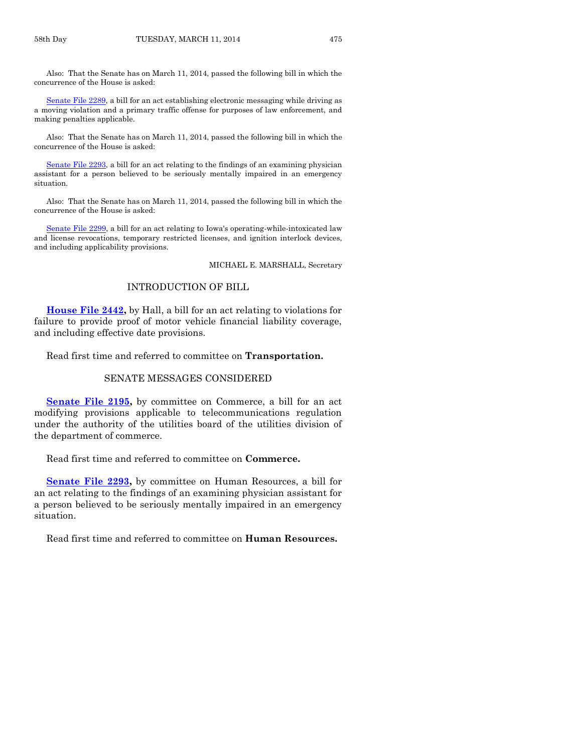Also: That the Senate has on March 11, 2014, passed the following bill in which the concurrence of the House is asked:

[Senate File 2289,](http://coolice.legis.iowa.gov/Cool-ICE/default.asp?Category=billinfo&Service=Billbook&frame=1&GA=85&hbill=SF2289) a bill for an act establishing electronic messaging while driving as a moving violation and a primary traffic offense for purposes of law enforcement, and making penalties applicable.

Also: That the Senate has on March 11, 2014, passed the following bill in which the concurrence of the House is asked:

[Senate File 2293,](http://coolice.legis.iowa.gov/Cool-ICE/default.asp?Category=billinfo&Service=Billbook&frame=1&GA=85&hbill=SF2293) a bill for an act relating to the findings of an examining physician assistant for a person believed to be seriously mentally impaired in an emergency situation.

Also: That the Senate has on March 11, 2014, passed the following bill in which the concurrence of the House is asked:

[Senate File 2299,](http://coolice.legis.iowa.gov/Cool-ICE/default.asp?Category=billinfo&Service=Billbook&frame=1&GA=85&hbill=SF2299) a bill for an act relating to Iowa's operating-while-intoxicated law and license revocations, temporary restricted licenses, and ignition interlock devices, and including applicability provisions.

MICHAEL E. MARSHALL, Secretary

#### INTRODUCTION OF BILL

**[House File 2442,](http://coolice.legis.iowa.gov/Cool-ICE/default.asp?Category=billinfo&Service=Billbook&frame=1&GA=85&hbill=HF2442)** by Hall, a bill for an act relating to violations for failure to provide proof of motor vehicle financial liability coverage, and including effective date provisions.

Read first time and referred to committee on **Transportation.**

#### SENATE MESSAGES CONSIDERED

[Senate File 2195,](http://coolice.legis.iowa.gov/Cool-ICE/default.asp?Category=billinfo&Service=Billbook&frame=1&GA=85&hbill=SF2195) by committee on Commerce, a bill for an act modifying provisions applicable to telecommunications regulation under the authority of the utilities board of the utilities division of the department of commerce.

Read first time and referred to committee on **Commerce.**

**[Senate File 2293,](http://coolice.legis.iowa.gov/Cool-ICE/default.asp?Category=billinfo&Service=Billbook&frame=1&GA=85&hbill=SF2293)** by committee on Human Resources, a bill for an act relating to the findings of an examining physician assistant for a person believed to be seriously mentally impaired in an emergency situation.

Read first time and referred to committee on **Human Resources.**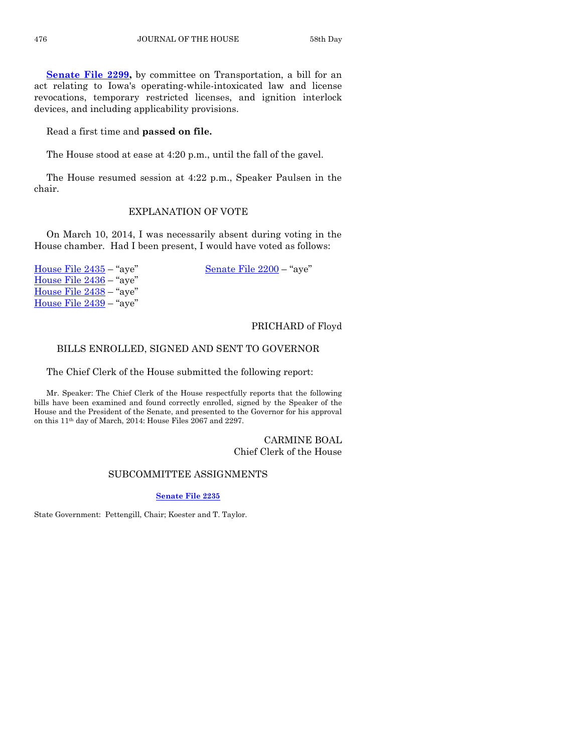**[Senate File 2299,](http://coolice.legis.iowa.gov/Cool-ICE/default.asp?Category=billinfo&Service=Billbook&frame=1&GA=85&hbill=SF2299)** by committee on Transportation, a bill for an act relating to Iowa's operating-while-intoxicated law and license revocations, temporary restricted licenses, and ignition interlock devices, and including applicability provisions.

Read a first time and **passed on file.**

The House stood at ease at 4:20 p.m., until the fall of the gavel.

The House resumed session at 4:22 p.m., Speaker Paulsen in the chair.

#### EXPLANATION OF VOTE

On March 10, 2014, I was necessarily absent during voting in the House chamber. Had I been present, I would have voted as follows:

[House File 2435](http://coolice.legis.iowa.gov/Cool-ICE/default.asp?Category=billinfo&Service=Billbook&frame=1&GA=85&hbill=HF2435) – "aye" [Senate File 2200](http://coolice.legis.iowa.gov/Cool-ICE/default.asp?Category=billinfo&Service=Billbook&frame=1&GA=85&hbill=SF2200) – "aye" [House File 2436](http://coolice.legis.iowa.gov/Cool-ICE/default.asp?Category=billinfo&Service=Billbook&frame=1&GA=85&hbill=HF2436) – "aye" [House File 2438](http://coolice.legis.iowa.gov/Cool-ICE/default.asp?Category=billinfo&Service=Billbook&frame=1&GA=85&hbill=HF2438) – "aye" [House File 2439](http://coolice.legis.iowa.gov/Cool-ICE/default.asp?Category=billinfo&Service=Billbook&frame=1&GA=85&hbill=HF2439) – "aye"

#### PRICHARD of Floyd

#### BILLS ENROLLED, SIGNED AND SENT TO GOVERNOR

The Chief Clerk of the House submitted the following report:

Mr. Speaker: The Chief Clerk of the House respectfully reports that the following bills have been examined and found correctly enrolled, signed by the Speaker of the House and the President of the Senate, and presented to the Governor for his approval on this 11th day of March, 2014: House Files 2067 and 2297.

#### CARMINE BOAL Chief Clerk of the House

#### SUBCOMMITTEE ASSIGNMENTS

#### **[Senate File 2235](http://coolice.legis.iowa.gov/Cool-ICE/default.asp?Category=billinfo&Service=Billbook&frame=1&GA=85&hbill=SF2235)**

State Government: Pettengill, Chair; Koester and T. Taylor.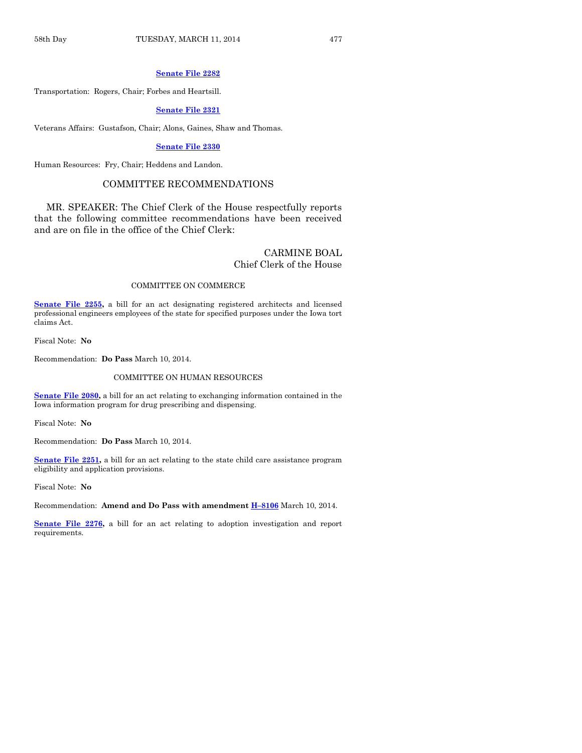#### **[Senate File 2282](http://coolice.legis.iowa.gov/Cool-ICE/default.asp?Category=billinfo&Service=Billbook&frame=1&GA=85&hbill=SF2282)**

Transportation: Rogers, Chair; Forbes and Heartsill.

#### **[Senate File 2321](http://coolice.legis.iowa.gov/Cool-ICE/default.asp?Category=billinfo&Service=Billbook&frame=1&GA=85&hbill=SF2321)**

Veterans Affairs: Gustafson, Chair; Alons, Gaines, Shaw and Thomas.

#### **[Senate File](http://coolice.legis.iowa.gov/Cool-ICE/default.asp?Category=billinfo&Service=Billbook&frame=1&GA=85&hbill=SF2330) 2330**

Human Resources: Fry, Chair; Heddens and Landon.

#### COMMITTEE RECOMMENDATIONS

MR. SPEAKER: The Chief Clerk of the House respectfully reports that the following committee recommendations have been received and are on file in the office of the Chief Clerk:

#### CARMINE BOAL Chief Clerk of the House

#### COMMITTEE ON COMMERCE

**[Senate File 2255,](http://coolice.legis.iowa.gov/Cool-ICE/default.asp?Category=billinfo&Service=Billbook&frame=1&GA=85&hbill=SF2255)** a bill for an act designating registered architects and licensed professional engineers employees of the state for specified purposes under the Iowa tort claims Act.

Fiscal Note: **No**

Recommendation: **Do Pass** March 10, 2014.

#### COMMITTEE ON HUMAN RESOURCES

**[Senate File 2080,](http://coolice.legis.iowa.gov/Cool-ICE/default.asp?Category=billinfo&Service=Billbook&frame=1&GA=85&hbill=SF2080)** a bill for an act relating to exchanging information contained in the Iowa information program for drug prescribing and dispensing.

Fiscal Note: **No**

Recommendation: **Do Pass** March 10, 2014.

**[Senate File 2251,](http://coolice.legis.iowa.gov/Cool-ICE/default.asp?Category=billinfo&Service=Billbook&frame=1&GA=85&hbill=SF2251)** a bill for an act relating to the state child care assistance program eligibility and application provisions.

Fiscal Note: **No**

Recommendation: **Amend and Do Pass with amendment H–[8106](http://coolice.legis.iowa.gov/Cool-ICE/default.asp?Category=billinfo&Service=Billbook&frame=1&GA=85&hbill=H8106)** March 10, 2014.

**[Senate File 2276,](http://coolice.legis.iowa.gov/Cool-ICE/default.asp?Category=billinfo&Service=Billbook&frame=1&GA=85&hbill=SF2276)** a bill for an act relating to adoption investigation and report requirements.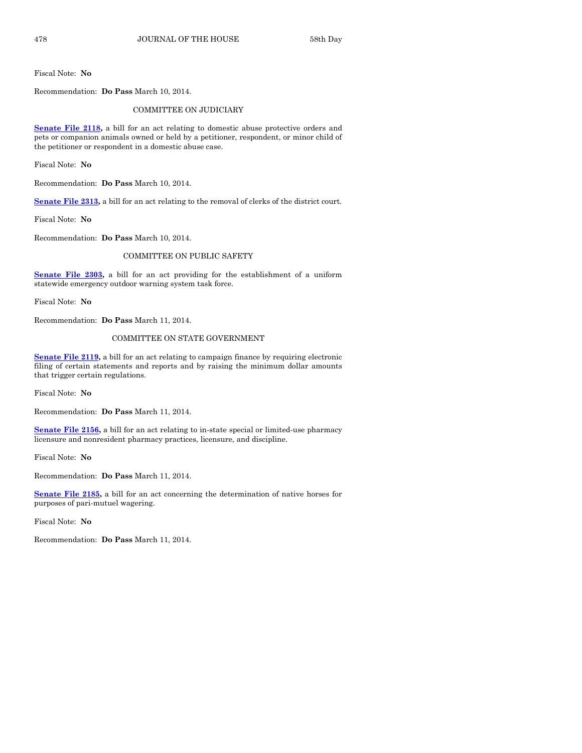Fiscal Note: **No**

Recommendation: **Do Pass** March 10, 2014.

#### COMMITTEE ON JUDICIARY

**[Senate File 2118,](http://coolice.legis.iowa.gov/Cool-ICE/default.asp?Category=billinfo&Service=Billbook&frame=1&GA=85&hbill=SF2118)** a bill for an act relating to domestic abuse protective orders and pets or companion animals owned or held by a petitioner, respondent, or minor child of the petitioner or respondent in a domestic abuse case.

Fiscal Note: **No**

Recommendation: **Do Pass** March 10, 2014.

**[Senate File 2313,](http://coolice.legis.iowa.gov/Cool-ICE/default.asp?Category=billinfo&Service=Billbook&frame=1&GA=85&hbill=SF2313)** a bill for an act relating to the removal of clerks of the district court.

Fiscal Note: **No**

Recommendation: **Do Pass** March 10, 2014.

#### COMMITTEE ON PUBLIC SAFETY

**[Senate File 2303,](http://coolice.legis.iowa.gov/Cool-ICE/default.asp?Category=billinfo&Service=Billbook&frame=1&GA=85&hbill=SF2303)** a bill for an act providing for the establishment of a uniform statewide emergency outdoor warning system task force.

Fiscal Note: **No**

Recommendation: **Do Pass** March 11, 2014.

#### COMMITTEE ON STATE GOVERNMENT

**[Senate File 2119,](http://coolice.legis.iowa.gov/Cool-ICE/default.asp?Category=billinfo&Service=Billbook&frame=1&GA=85&hbill=SF2119)** a bill for an act relating to campaign finance by requiring electronic filing of certain statements and reports and by raising the minimum dollar amounts that trigger certain regulations.

Fiscal Note: **No**

Recommendation: **Do Pass** March 11, 2014.

**[Senate File 2156,](http://coolice.legis.iowa.gov/Cool-ICE/default.asp?Category=billinfo&Service=Billbook&frame=1&GA=85&hbill=SF2156)** a bill for an act relating to in-state special or limited-use pharmacy licensure and nonresident pharmacy practices, licensure, and discipline.

Fiscal Note: **No**

Recommendation: **Do Pass** March 11, 2014.

**[Senate File 2185,](http://coolice.legis.iowa.gov/Cool-ICE/default.asp?Category=billinfo&Service=Billbook&frame=1&GA=85&hbill=SF2185)** a bill for an act concerning the determination of native horses for purposes of pari-mutuel wagering.

Fiscal Note: **No**

Recommendation: **Do Pass** March 11, 2014.